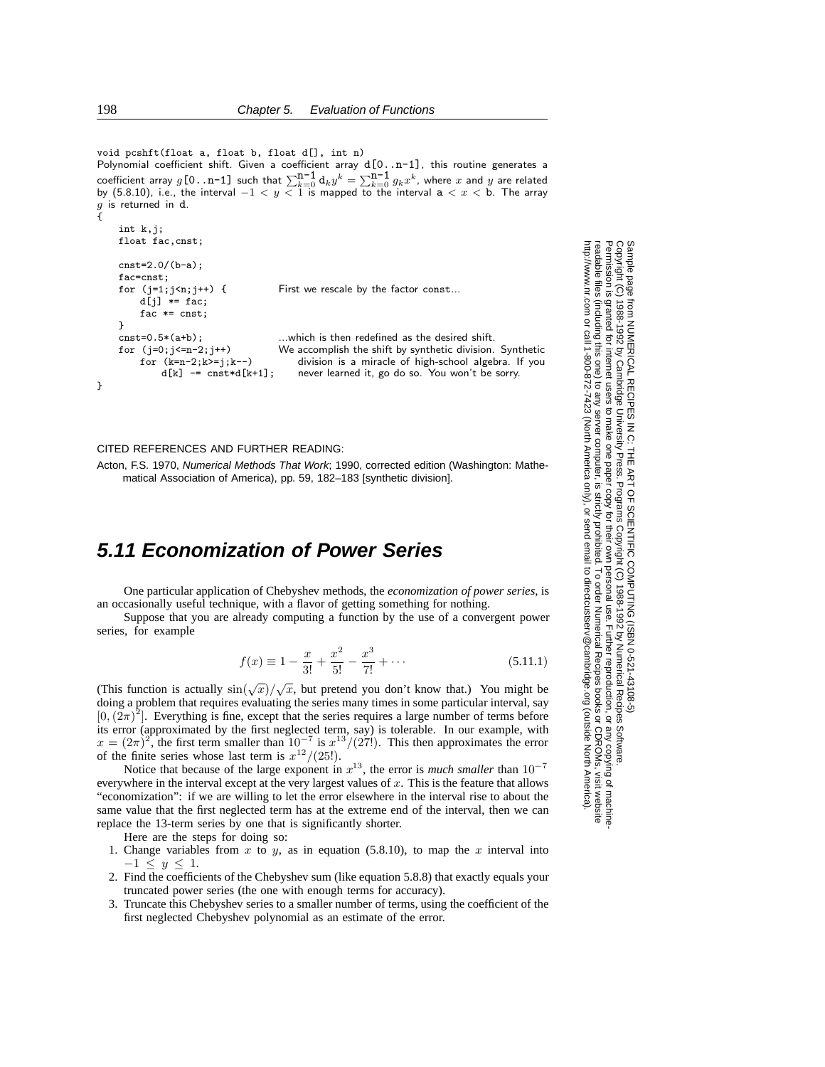```
void pcshft(float a, float b, float d[], int n)
Polynomial coefficient shift. Given a coefficient array d[0..n-1], this routine generates a
coefficient array g[0, n-1] such that \sum_{k=0}^{n-1} a_k y^k = \sum_{k=0}^{n-1} g_k x^k, where x and y are related<br>by (5.8.10), i.e., the interval -1 < y < 1 is mapped to the interval a < x < b. The array
g is returned in d.
{
     int k,j;
     float fac,cnst;
     cnst=2.0/(b-a);
     fac=cnst;
     for (j=1;j<n;j++) { First we rescale by the factor const...
          d[j] *= fac;
           fac * = \text{cnst};
     }
     \text{cnst=0.5*(a+b)}; ...which is then redefined as the desired shift.<br>for (j=0; j<=n-2; j++) We accomplish the shift by synthetic division.
                                              We accomplish the shift by synthetic division. Synthetic
                                                   division is a miracle of high-school algebra. If you
                                                  never learned it, go do so. You won't be sorry.
           for (k=n-2; k>=j; k--)d[k] -= cnst*d[k+1];
}
```
## CITED REFERENCES AND FURTHER READING:

Acton, F.S. 1970, Numerical Methods That Work; 1990, corrected edition (Washington: Mathematical Association of America), pp. 59, 182–183 [synthetic division].

## **5.11 Economization of Power Series**

One particular application of Chebyshev methods, the *economization of power series*, is an occasionally useful technique, with a flavor of getting something for nothing.

Suppose that you are already computing a function by the use of a convergent power series, for example

$$
f(x) \equiv 1 - \frac{x}{3!} + \frac{x^2}{5!} - \frac{x^3}{7!} + \dotsb
$$
 (5.11.1)

(This function is actually  $\sin(\sqrt{x})/\sqrt{x}$ , but pretend you don't know that.) You might be doing a problem that requires evaluating the series many times in some particular interval, say  $[0, (2\pi)^2]$ . Everything is fine, except that the series requires a large number of terms before its error (approximated by the first neglected term, say) is tolerable. In our example, with  $x = (2\pi)^2$ , the first term smaller than  $10^{-7}$  is  $x^{13}/(27!)$ . This then approximates the error of the finite series whose last term is  $x^{12}/(25!)$ .

Notice that because of the large exponent in  $x^{13}$ , the error is *much smaller* than 10<sup>-7</sup> everywhere in the interval except at the very largest values of  $x$ . This is the feature that allows "economization": if we are willing to let the error elsewhere in the interval rise to about the same value that the first neglected term has at the extreme end of the interval, then we can replace the 13-term series by one that is significantly shorter.

Here are the steps for doing so:

- 1. Change variables from x to y, as in equation (5.8.10), to map the x interval into  $-1 \le y \le 1$ .
- 2. Find the coefficients of the Chebyshev sum (like equation 5.8.8) that exactly equals your truncated power series (the one with enough terms for accuracy).
- 3. Truncate this Chebyshev series to a smaller number of terms, using the coefficient of the first neglected Chebyshev polynomial as an estimate of the error.

Permission is granted for internet users to make one paper copy for their own personal use. Further reproduction, or any copyin Copyright (C) 1988-1992 by Cambridge University Press.Programs Copyright (C) 1988-1992 by Numerical Recipes Software. Sample page from NUMERICAL RECIPES IN C: THE ART OF SCIENTIFIC COMPUTING (ISBN 0-521-43108-5) g of machinereadable files (including this one) to any servercomputer, is strictly prohibited. To order Numerical Recipes booksor CDROMs, visit website http://www.nr.com or call 1-800-872-7423 (North America only),or send email to directcustserv@cambridge.org (outside North America).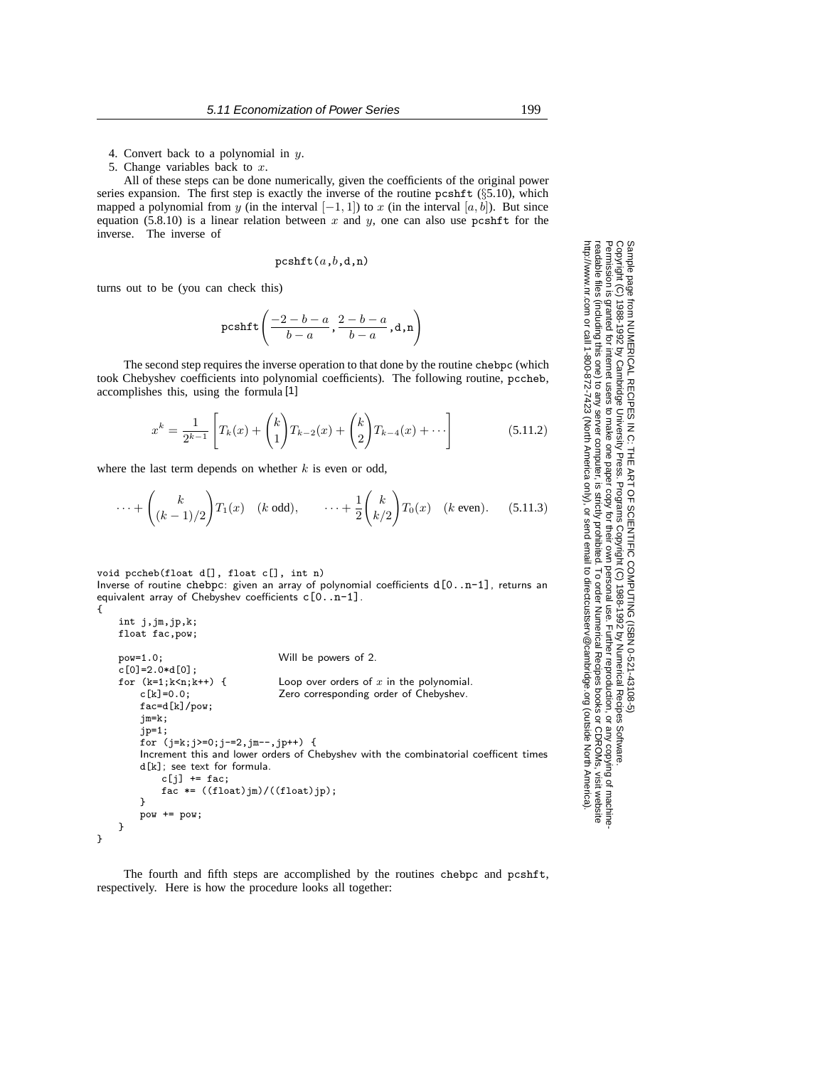5. Change variables back to  $x$ .

All of these steps can be done numerically, given the coefficients of the original power series expansion. The first step is exactly the inverse of the routine pcshft (§5.10), which mapped a polynomial from y (in the interval  $[-1, 1]$ ) to x (in the interval  $[a, b]$ ). But since equation (5.8.10) is a linear relation between x and y, one can also use pcshft for the inverse. The inverse of

$$
\texttt{pcshft}(a, b, d, \texttt{n})
$$

turns out to be (you can check this)

int j,jm,jp,k;

$$
\text{pcshft}\left(\frac{-2-b-a}{b-a},\frac{2-b-a}{b-a},\text{d},\text{n}\right)
$$

The second step requires the inverse operation to that done by the routine chebpc (which took Chebyshev coefficients into polynomial coefficients). The following routine, pccheb, accomplishes this, using the formula [1]

$$
x^{k} = \frac{1}{2^{k-1}} \left[ T_{k}(x) + {k \choose 1} T_{k-2}(x) + {k \choose 2} T_{k-4}(x) + \cdots \right]
$$
(5.11.2)

where the last term depends on whether  $k$  is even or odd,

$$
\cdots + \binom{k}{(k-1)/2} T_1(x) \quad (k \text{ odd}), \qquad \cdots + \frac{1}{2} \binom{k}{k/2} T_0(x) \quad (k \text{ even}). \tag{5.11.3}
$$

void pccheb(float d[], float c[], int n) Inverse of routine chebpc: given an array of polynomial coefficients d[0..n-1], returns an equivalent array of Chebyshev coefficients  $c[0..n-1]$ . {

```
float fac,pow;
pow=1.0; Will be powers of 2.
c[0] = 2.0 * d[0];for (k=1; k \le n; k++) { Loop over orders of x in the polynomial.<br>
c[k]=0.0; <br>
Zero corresponding order of Chebyshev.
                                 Zero corresponding order of Chebyshev.
    fac=d[k]/pow;
    jm=k;
    jp=1;
    for (j=k;j>=0;j-=2,jm--,jp++) {
    Increment this and lower orders of Chebyshev with the combinatorial coefficent times
    d[k]; see text for formula.
         c[j] += fac;fac *= ((float)jm)/((float)jp);}
    pow += pow;
}
```

```
}
```
The fourth and fifth steps are accomplished by the routines chebpc and pcshft, respectively. Here is how the procedure looks all together:

Permission is granted for internet users to make one paper copy for their own personal use. Further reproduction, or any copyin Copyright (C) 1988-1992 by Cambridge University Press.Programs Copyright (C) 1988-1992 by Numerical Recipes Software. Sample page from NUMERICAL RECIPES IN C: THE ART OF SCIENTIFIC COMPUTING (ISBN 0-521-43108-5) g of machinereadable files (including this one) to any servercomputer, is strictly prohibited. To order Numerical Recipes booksor CDROMs, visit website http://www.nr.com or call 1-800-872-7423 (North America only),or send email to directcustserv@cambridge.org (outside North America).